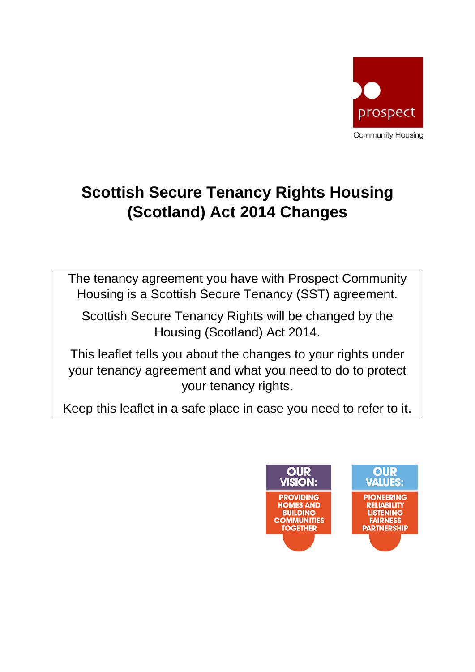

# **Scottish Secure Tenancy Rights Housing (Scotland) Act 2014 Changes**

The tenancy agreement you have with Prospect Community Housing is a Scottish Secure Tenancy (SST) agreement.

Scottish Secure Tenancy Rights will be changed by the Housing (Scotland) Act 2014.

This leaflet tells you about the changes to your rights under your tenancy agreement and what you need to do to protect your tenancy rights.

Keep this leaflet in a safe place in case you need to refer to it.

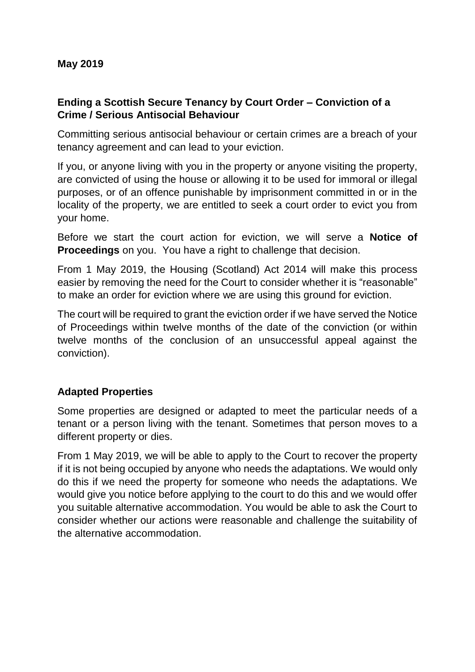#### **Ending a Scottish Secure Tenancy by Court Order – Conviction of a Crime / Serious Antisocial Behaviour**

Committing serious antisocial behaviour or certain crimes are a breach of your tenancy agreement and can lead to your eviction.

If you, or anyone living with you in the property or anyone visiting the property, are convicted of using the house or allowing it to be used for immoral or illegal purposes, or of an offence punishable by imprisonment committed in or in the locality of the property, we are entitled to seek a court order to evict you from your home.

Before we start the court action for eviction, we will serve a **Notice of Proceedings** on you. You have a right to challenge that decision.

From 1 May 2019, the Housing (Scotland) Act 2014 will make this process easier by removing the need for the Court to consider whether it is "reasonable" to make an order for eviction where we are using this ground for eviction.

The court will be required to grant the eviction order if we have served the Notice of Proceedings within twelve months of the date of the conviction (or within twelve months of the conclusion of an unsuccessful appeal against the conviction).

#### **Adapted Properties**

Some properties are designed or adapted to meet the particular needs of a tenant or a person living with the tenant. Sometimes that person moves to a different property or dies.

From 1 May 2019, we will be able to apply to the Court to recover the property if it is not being occupied by anyone who needs the adaptations. We would only do this if we need the property for someone who needs the adaptations. We would give you notice before applying to the court to do this and we would offer you suitable alternative accommodation. You would be able to ask the Court to consider whether our actions were reasonable and challenge the suitability of the alternative accommodation.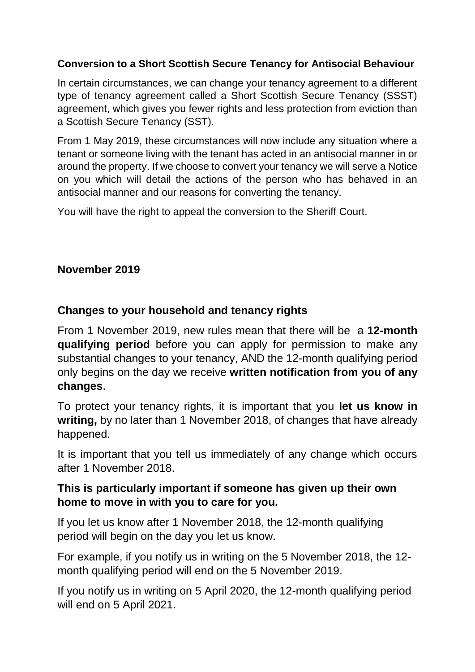#### **Conversion to a Short Scottish Secure Tenancy for Antisocial Behaviour**

In certain circumstances, we can change your tenancy agreement to a different type of tenancy agreement called a Short Scottish Secure Tenancy (SSST) agreement, which gives you fewer rights and less protection from eviction than a Scottish Secure Tenancy (SST).

From 1 May 2019, these circumstances will now include any situation where a tenant or someone living with the tenant has acted in an antisocial manner in or around the property. If we choose to convert your tenancy we will serve a Notice on you which will detail the actions of the person who has behaved in an antisocial manner and our reasons for converting the tenancy.

You will have the right to appeal the conversion to the Sheriff Court.

#### **November 2019**

#### **Changes to your household and tenancy rights**

From 1 November 2019, new rules mean that there will be a **12-month qualifying period** before you can apply for permission to make any substantial changes to your tenancy, AND the 12-month qualifying period only begins on the day we receive **written notification from you of any changes**.

To protect your tenancy rights, it is important that you **let us know in writing,** by no later than 1 November 2018, of changes that have already happened.

It is important that you tell us immediately of any change which occurs after 1 November 2018.

#### **This is particularly important if someone has given up their own home to move in with you to care for you.**

If you let us know after 1 November 2018, the 12-month qualifying period will begin on the day you let us know.

For example, if you notify us in writing on the 5 November 2018, the 12 month qualifying period will end on the 5 November 2019.

If you notify us in writing on 5 April 2020, the 12-month qualifying period will end on 5 April 2021.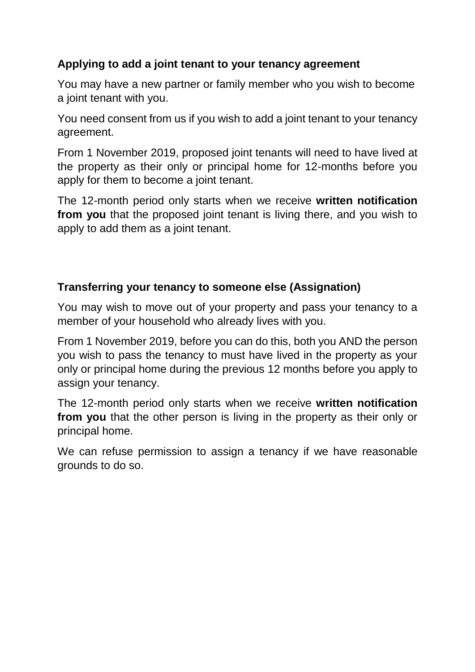### **Applying to add a joint tenant to your tenancy agreement**

You may have a new partner or family member who you wish to become a joint tenant with you.

You need consent from us if you wish to add a joint tenant to your tenancy agreement.

From 1 November 2019, proposed joint tenants will need to have lived at the property as their only or principal home for 12-months before you apply for them to become a joint tenant.

The 12-month period only starts when we receive **written notification from you** that the proposed joint tenant is living there, and you wish to apply to add them as a joint tenant.

#### **Transferring your tenancy to someone else (Assignation)**

You may wish to move out of your property and pass your tenancy to a member of your household who already lives with you.

From 1 November 2019, before you can do this, both you AND the person you wish to pass the tenancy to must have lived in the property as your only or principal home during the previous 12 months before you apply to assign your tenancy.

The 12-month period only starts when we receive **written notification from you** that the other person is living in the property as their only or principal home.

We can refuse permission to assign a tenancy if we have reasonable grounds to do so.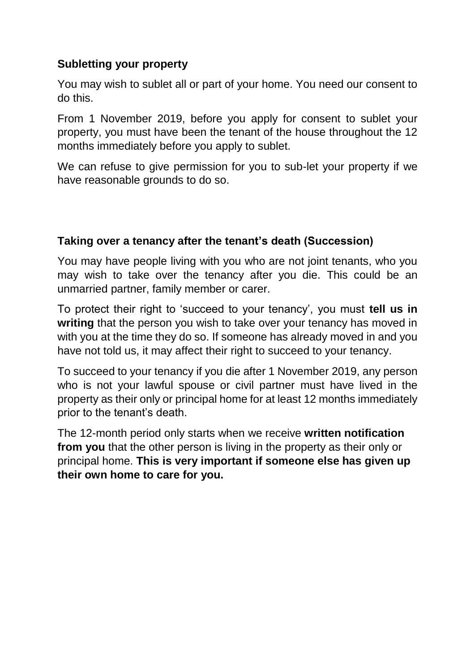### **Subletting your property**

You may wish to sublet all or part of your home. You need our consent to do this.

From 1 November 2019, before you apply for consent to sublet your property, you must have been the tenant of the house throughout the 12 months immediately before you apply to sublet.

We can refuse to give permission for you to sub-let your property if we have reasonable grounds to do so.

#### **Taking over a tenancy after the tenant's death (Succession)**

You may have people living with you who are not joint tenants, who you may wish to take over the tenancy after you die. This could be an unmarried partner, family member or carer.

To protect their right to 'succeed to your tenancy', you must **tell us in writing** that the person you wish to take over your tenancy has moved in with you at the time they do so. If someone has already moved in and you have not told us, it may affect their right to succeed to your tenancy.

To succeed to your tenancy if you die after 1 November 2019, any person who is not your lawful spouse or civil partner must have lived in the property as their only or principal home for at least 12 months immediately prior to the tenant's death.

The 12-month period only starts when we receive **written notification from you** that the other person is living in the property as their only or principal home. **This is very important if someone else has given up their own home to care for you.**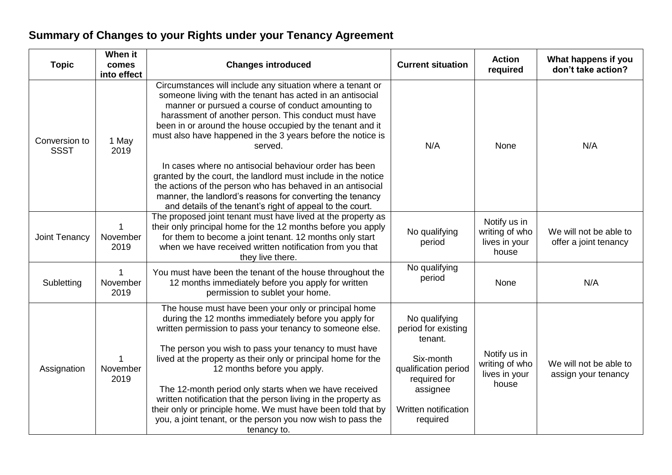## **Summary of Changes to your Rights under your Tenancy Agreement**

| <b>Topic</b>                 | When it<br>comes<br>into effect | <b>Changes introduced</b>                                                                                                                                                                                                                                                                                                                                                                                                                                                                                                                                                                                   | <b>Current situation</b>                                                                                                                             | <b>Action</b><br>required                                | What happens if you<br>don't take action?       |
|------------------------------|---------------------------------|-------------------------------------------------------------------------------------------------------------------------------------------------------------------------------------------------------------------------------------------------------------------------------------------------------------------------------------------------------------------------------------------------------------------------------------------------------------------------------------------------------------------------------------------------------------------------------------------------------------|------------------------------------------------------------------------------------------------------------------------------------------------------|----------------------------------------------------------|-------------------------------------------------|
| Conversion to<br><b>SSST</b> | 1 May<br>2019                   | Circumstances will include any situation where a tenant or<br>someone living with the tenant has acted in an antisocial<br>manner or pursued a course of conduct amounting to<br>harassment of another person. This conduct must have<br>been in or around the house occupied by the tenant and it<br>must also have happened in the 3 years before the notice is<br>served.                                                                                                                                                                                                                                | N/A                                                                                                                                                  | None                                                     | N/A                                             |
|                              |                                 | In cases where no antisocial behaviour order has been<br>granted by the court, the landlord must include in the notice<br>the actions of the person who has behaved in an antisocial<br>manner, the landlord's reasons for converting the tenancy<br>and details of the tenant's right of appeal to the court.                                                                                                                                                                                                                                                                                              |                                                                                                                                                      |                                                          |                                                 |
| Joint Tenancy                | November<br>2019                | The proposed joint tenant must have lived at the property as<br>their only principal home for the 12 months before you apply<br>for them to become a joint tenant. 12 months only start<br>when we have received written notification from you that<br>they live there.                                                                                                                                                                                                                                                                                                                                     | No qualifying<br>period                                                                                                                              | Notify us in<br>writing of who<br>lives in your<br>house | We will not be able to<br>offer a joint tenancy |
| Subletting                   | 1<br>November<br>2019           | You must have been the tenant of the house throughout the<br>12 months immediately before you apply for written<br>permission to sublet your home.                                                                                                                                                                                                                                                                                                                                                                                                                                                          | No qualifying<br>period                                                                                                                              | None                                                     | N/A                                             |
| Assignation                  | November<br>2019                | The house must have been your only or principal home<br>during the 12 months immediately before you apply for<br>written permission to pass your tenancy to someone else.<br>The person you wish to pass your tenancy to must have<br>lived at the property as their only or principal home for the<br>12 months before you apply.<br>The 12-month period only starts when we have received<br>written notification that the person living in the property as<br>their only or principle home. We must have been told that by<br>you, a joint tenant, or the person you now wish to pass the<br>tenancy to. | No qualifying<br>period for existing<br>tenant.<br>Six-month<br>qualification period<br>required for<br>assignee<br>Written notification<br>required | Notify us in<br>writing of who<br>lives in your<br>house | We will not be able to<br>assign your tenancy   |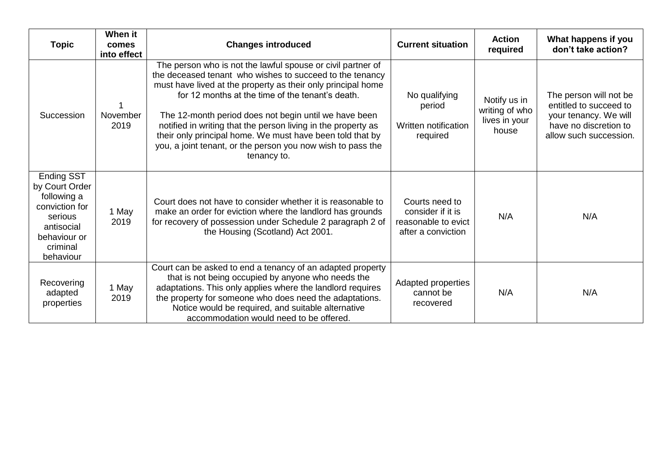| <b>Topic</b>                                                                                                                           | When it<br>comes<br>into effect | <b>Changes introduced</b>                                                                                                                                                                                                                                                                                                                                                                                                                                                                                        | <b>Current situation</b>                                                         | <b>Action</b><br>required                                | What happens if you<br>don't take action?                                                                                    |
|----------------------------------------------------------------------------------------------------------------------------------------|---------------------------------|------------------------------------------------------------------------------------------------------------------------------------------------------------------------------------------------------------------------------------------------------------------------------------------------------------------------------------------------------------------------------------------------------------------------------------------------------------------------------------------------------------------|----------------------------------------------------------------------------------|----------------------------------------------------------|------------------------------------------------------------------------------------------------------------------------------|
| Succession                                                                                                                             | November<br>2019                | The person who is not the lawful spouse or civil partner of<br>the deceased tenant who wishes to succeed to the tenancy<br>must have lived at the property as their only principal home<br>for 12 months at the time of the tenant's death.<br>The 12-month period does not begin until we have been<br>notified in writing that the person living in the property as<br>their only principal home. We must have been told that by<br>you, a joint tenant, or the person you now wish to pass the<br>tenancy to. | No qualifying<br>period<br>Written notification<br>required                      | Notify us in<br>writing of who<br>lives in your<br>house | The person will not be<br>entitled to succeed to<br>your tenancy. We will<br>have no discretion to<br>allow such succession. |
| <b>Ending SST</b><br>by Court Order<br>following a<br>conviction for<br>serious<br>antisocial<br>behaviour or<br>criminal<br>behaviour | 1 May<br>2019                   | Court does not have to consider whether it is reasonable to<br>make an order for eviction where the landlord has grounds<br>for recovery of possession under Schedule 2 paragraph 2 of<br>the Housing (Scotland) Act 2001.                                                                                                                                                                                                                                                                                       | Courts need to<br>consider if it is<br>reasonable to evict<br>after a conviction | N/A                                                      | N/A                                                                                                                          |
| Recovering<br>adapted<br>properties                                                                                                    | 1 May<br>2019                   | Court can be asked to end a tenancy of an adapted property<br>that is not being occupied by anyone who needs the<br>adaptations. This only applies where the landlord requires<br>the property for someone who does need the adaptations.<br>Notice would be required, and suitable alternative<br>accommodation would need to be offered.                                                                                                                                                                       | Adapted properties<br>cannot be<br>recovered                                     | N/A                                                      | N/A                                                                                                                          |